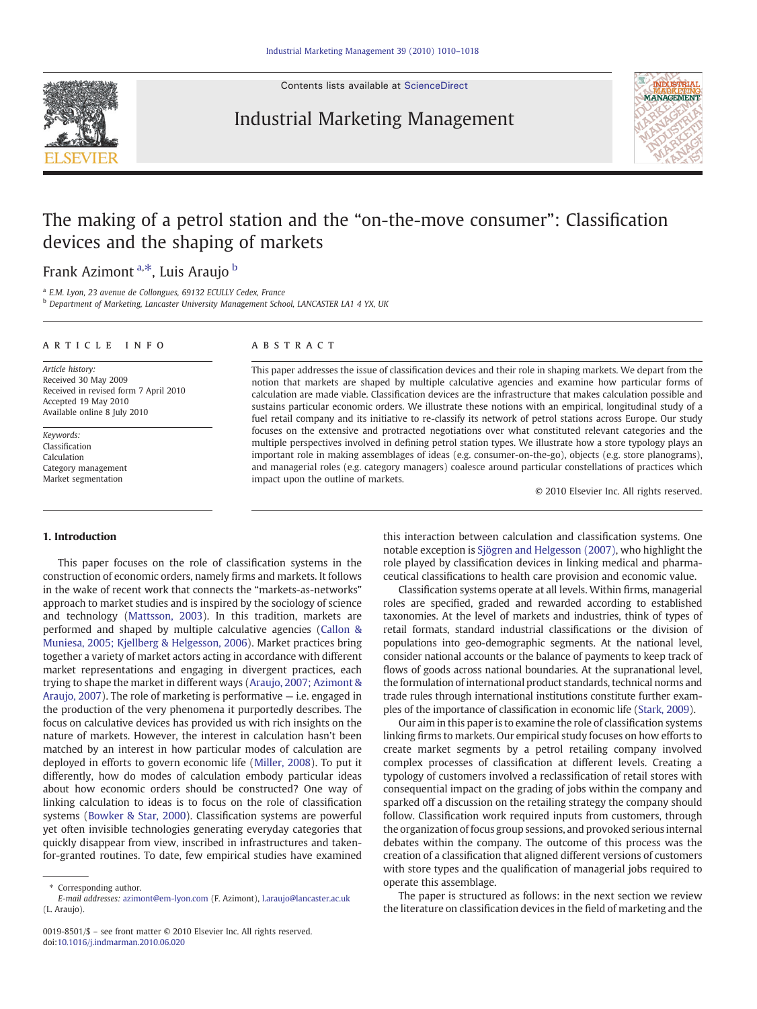Contents lists available at [ScienceDirect](http://www.sciencedirect.com/science/journal/00198501)





# The making of a petrol station and the "on-the-move consumer": Classification devices and the shaping of markets

## Frank Azimont <sup>a,\*</sup>, Luis Araujo <sup>b</sup>

<sup>a</sup> E.M. Lyon, 23 avenue de Collongues, 69132 ECULLY Cedex, France

**b** Department of Marketing, Lancaster University Management School, LANCASTER LA1 4 YX, UK

#### ARTICLE INFO ABSTRACT

Article history: Received 30 May 2009 Received in revised form 7 April 2010 Accepted 19 May 2010 Available online 8 July 2010

Keywords: Classification Calculation Category management Market segmentation

This paper addresses the issue of classification devices and their role in shaping markets. We depart from the notion that markets are shaped by multiple calculative agencies and examine how particular forms of calculation are made viable. Classification devices are the infrastructure that makes calculation possible and sustains particular economic orders. We illustrate these notions with an empirical, longitudinal study of a fuel retail company and its initiative to re-classify its network of petrol stations across Europe. Our study focuses on the extensive and protracted negotiations over what constituted relevant categories and the multiple perspectives involved in defining petrol station types. We illustrate how a store typology plays an important role in making assemblages of ideas (e.g. consumer-on-the-go), objects (e.g. store planograms), and managerial roles (e.g. category managers) coalesce around particular constellations of practices which impact upon the outline of markets.

© 2010 Elsevier Inc. All rights reserved.

#### 1. Introduction

This paper focuses on the role of classification systems in the construction of economic orders, namely firms and markets. It follows in the wake of recent work that connects the "markets-as-networks" approach to market studies and is inspired by the sociology of science and technology [\(Mattsson, 2003](#page-8-0)). In this tradition, markets are performed and shaped by multiple calculative agencies ([Callon &](#page-8-0) [Muniesa, 2005; Kjellberg & Helgesson, 2006\)](#page-8-0). Market practices bring together a variety of market actors acting in accordance with different market representations and engaging in divergent practices, each trying to shape the market in different ways [\(Araujo, 2007; Azimont &](#page-8-0) [Araujo, 2007\)](#page-8-0). The role of marketing is performative  $-$  i.e. engaged in the production of the very phenomena it purportedly describes. The focus on calculative devices has provided us with rich insights on the nature of markets. However, the interest in calculation hasn't been matched by an interest in how particular modes of calculation are deployed in efforts to govern economic life ([Miller, 2008\)](#page-8-0). To put it differently, how do modes of calculation embody particular ideas about how economic orders should be constructed? One way of linking calculation to ideas is to focus on the role of classification systems [\(Bowker & Star, 2000](#page-8-0)). Classification systems are powerful yet often invisible technologies generating everyday categories that quickly disappear from view, inscribed in infrastructures and takenfor-granted routines. To date, few empirical studies have examined

this interaction between calculation and classification systems. One notable exception is [Sjögren and Helgesson \(2007\),](#page-8-0) who highlight the role played by classification devices in linking medical and pharmaceutical classifications to health care provision and economic value.

Classification systems operate at all levels. Within firms, managerial roles are specified, graded and rewarded according to established taxonomies. At the level of markets and industries, think of types of retail formats, standard industrial classifications or the division of populations into geo-demographic segments. At the national level, consider national accounts or the balance of payments to keep track of flows of goods across national boundaries. At the supranational level, the formulation of international product standards, technical norms and trade rules through international institutions constitute further examples of the importance of classification in economic life [\(Stark, 2009](#page-8-0)).

Our aim in this paper is to examine the role of classification systems linking firms to markets. Our empirical study focuses on how efforts to create market segments by a petrol retailing company involved complex processes of classification at different levels. Creating a typology of customers involved a reclassification of retail stores with consequential impact on the grading of jobs within the company and sparked off a discussion on the retailing strategy the company should follow. Classification work required inputs from customers, through the organization of focus group sessions, and provoked serious internal debates within the company. The outcome of this process was the creation of a classification that aligned different versions of customers with store types and the qualification of managerial jobs required to operate this assemblage.

The paper is structured as follows: in the next section we review the literature on classification devices in the field of marketing and the

<sup>⁎</sup> Corresponding author.

E-mail addresses: [azimont@em-lyon.com](mailto:azimont@em-lyon.com) (F. Azimont), [l.araujo@lancaster.ac.uk](mailto:l.araujo@lancaster.ac.uk) (L. Araujo).

<sup>0019-8501/\$</sup> – see front matter © 2010 Elsevier Inc. All rights reserved. doi[:10.1016/j.indmarman.2010.06.020](http://dx.doi.org/10.1016/j.indmarman.2010.06.020)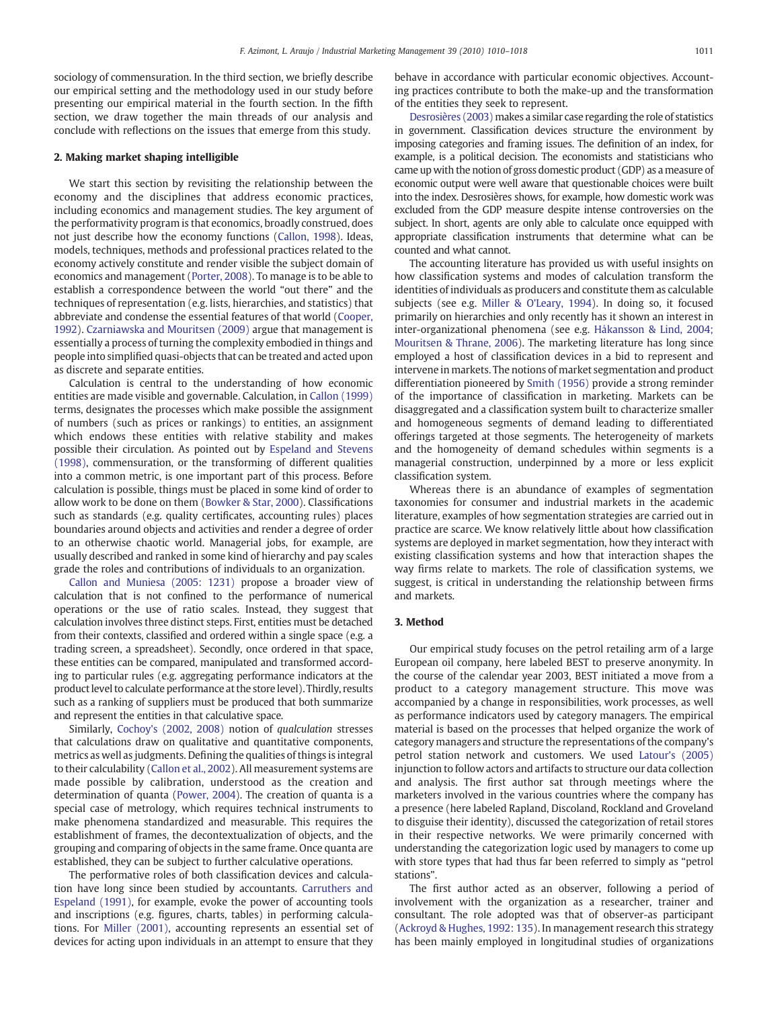sociology of commensuration. In the third section, we briefly describe our empirical setting and the methodology used in our study before presenting our empirical material in the fourth section. In the fifth section, we draw together the main threads of our analysis and conclude with reflections on the issues that emerge from this study.

#### 2. Making market shaping intelligible

We start this section by revisiting the relationship between the economy and the disciplines that address economic practices, including economics and management studies. The key argument of the performativity program is that economics, broadly construed, does not just describe how the economy functions ([Callon, 1998\)](#page-8-0). Ideas, models, techniques, methods and professional practices related to the economy actively constitute and render visible the subject domain of economics and management ([Porter, 2008\)](#page-8-0). To manage is to be able to establish a correspondence between the world "out there" and the techniques of representation (e.g. lists, hierarchies, and statistics) that abbreviate and condense the essential features of that world ([Cooper,](#page-8-0) [1992\)](#page-8-0). [Czarniawska and Mouritsen \(2009\)](#page-8-0) argue that management is essentially a process of turning the complexity embodied in things and people into simplified quasi-objects that can be treated and acted upon as discrete and separate entities.

Calculation is central to the understanding of how economic entities are made visible and governable. Calculation, in [Callon \(1999\)](#page-8-0) terms, designates the processes which make possible the assignment of numbers (such as prices or rankings) to entities, an assignment which endows these entities with relative stability and makes possible their circulation. As pointed out by [Espeland and Stevens](#page-8-0) [\(1998\),](#page-8-0) commensuration, or the transforming of different qualities into a common metric, is one important part of this process. Before calculation is possible, things must be placed in some kind of order to allow work to be done on them ([Bowker & Star, 2000](#page-8-0)). Classifications such as standards (e.g. quality certificates, accounting rules) places boundaries around objects and activities and render a degree of order to an otherwise chaotic world. Managerial jobs, for example, are usually described and ranked in some kind of hierarchy and pay scales grade the roles and contributions of individuals to an organization.

[Callon and Muniesa \(2005: 1231\)](#page-8-0) propose a broader view of calculation that is not confined to the performance of numerical operations or the use of ratio scales. Instead, they suggest that calculation involves three distinct steps. First, entities must be detached from their contexts, classified and ordered within a single space (e.g. a trading screen, a spreadsheet). Secondly, once ordered in that space, these entities can be compared, manipulated and transformed according to particular rules (e.g. aggregating performance indicators at the product level to calculate performance at the store level). Thirdly, results such as a ranking of suppliers must be produced that both summarize and represent the entities in that calculative space.

Similarly, [Cochoy's \(2002, 2008\)](#page-8-0) notion of qualculation stresses that calculations draw on qualitative and quantitative components, metrics as well as judgments. Defining the qualities of things is integral to their calculability [\(Callon et al., 2002\)](#page-8-0). All measurement systems are made possible by calibration, understood as the creation and determination of quanta [\(Power, 2004](#page-8-0)). The creation of quanta is a special case of metrology, which requires technical instruments to make phenomena standardized and measurable. This requires the establishment of frames, the decontextualization of objects, and the grouping and comparing of objects in the same frame. Once quanta are established, they can be subject to further calculative operations.

The performative roles of both classification devices and calculation have long since been studied by accountants. [Carruthers and](#page-8-0) [Espeland \(1991\)](#page-8-0), for example, evoke the power of accounting tools and inscriptions (e.g. figures, charts, tables) in performing calculations. For [Miller \(2001\)](#page-8-0), accounting represents an essential set of devices for acting upon individuals in an attempt to ensure that they

behave in accordance with particular economic objectives. Accounting practices contribute to both the make-up and the transformation of the entities they seek to represent.

[Desrosières \(2003\)](#page-8-0) makes a similar case regarding the role of statistics in government. Classification devices structure the environment by imposing categories and framing issues. The definition of an index, for example, is a political decision. The economists and statisticians who came up with the notion of gross domestic product (GDP) as a measure of economic output were well aware that questionable choices were built into the index. Desrosières shows, for example, how domestic work was excluded from the GDP measure despite intense controversies on the subject. In short, agents are only able to calculate once equipped with appropriate classification instruments that determine what can be counted and what cannot.

The accounting literature has provided us with useful insights on how classification systems and modes of calculation transform the identities of individuals as producers and constitute them as calculable subjects (see e.g. [Miller & O'Leary, 1994\)](#page-8-0). In doing so, it focused primarily on hierarchies and only recently has it shown an interest in inter-organizational phenomena (see e.g. [Håkansson & Lind, 2004;](#page-8-0) [Mouritsen & Thrane, 2006\)](#page-8-0). The marketing literature has long since employed a host of classification devices in a bid to represent and intervene in markets. The notions of market segmentation and product differentiation pioneered by [Smith \(1956\)](#page-8-0) provide a strong reminder of the importance of classification in marketing. Markets can be disaggregated and a classification system built to characterize smaller and homogeneous segments of demand leading to differentiated offerings targeted at those segments. The heterogeneity of markets and the homogeneity of demand schedules within segments is a managerial construction, underpinned by a more or less explicit classification system.

Whereas there is an abundance of examples of segmentation taxonomies for consumer and industrial markets in the academic literature, examples of how segmentation strategies are carried out in practice are scarce. We know relatively little about how classification systems are deployed in market segmentation, how they interact with existing classification systems and how that interaction shapes the way firms relate to markets. The role of classification systems, we suggest, is critical in understanding the relationship between firms and markets.

#### 3. Method

Our empirical study focuses on the petrol retailing arm of a large European oil company, here labeled BEST to preserve anonymity. In the course of the calendar year 2003, BEST initiated a move from a product to a category management structure. This move was accompanied by a change in responsibilities, work processes, as well as performance indicators used by category managers. The empirical material is based on the processes that helped organize the work of category managers and structure the representations of the company's petrol station network and customers. We used [Latour's \(2005\)](#page-8-0) injunction to follow actors and artifacts to structure our data collection and analysis. The first author sat through meetings where the marketers involved in the various countries where the company has a presence (here labeled Rapland, Discoland, Rockland and Groveland to disguise their identity), discussed the categorization of retail stores in their respective networks. We were primarily concerned with understanding the categorization logic used by managers to come up with store types that had thus far been referred to simply as "petrol stations".

The first author acted as an observer, following a period of involvement with the organization as a researcher, trainer and consultant. The role adopted was that of observer-as participant [\(Ackroyd & Hughes, 1992: 135\)](#page-8-0). In management research this strategy has been mainly employed in longitudinal studies of organizations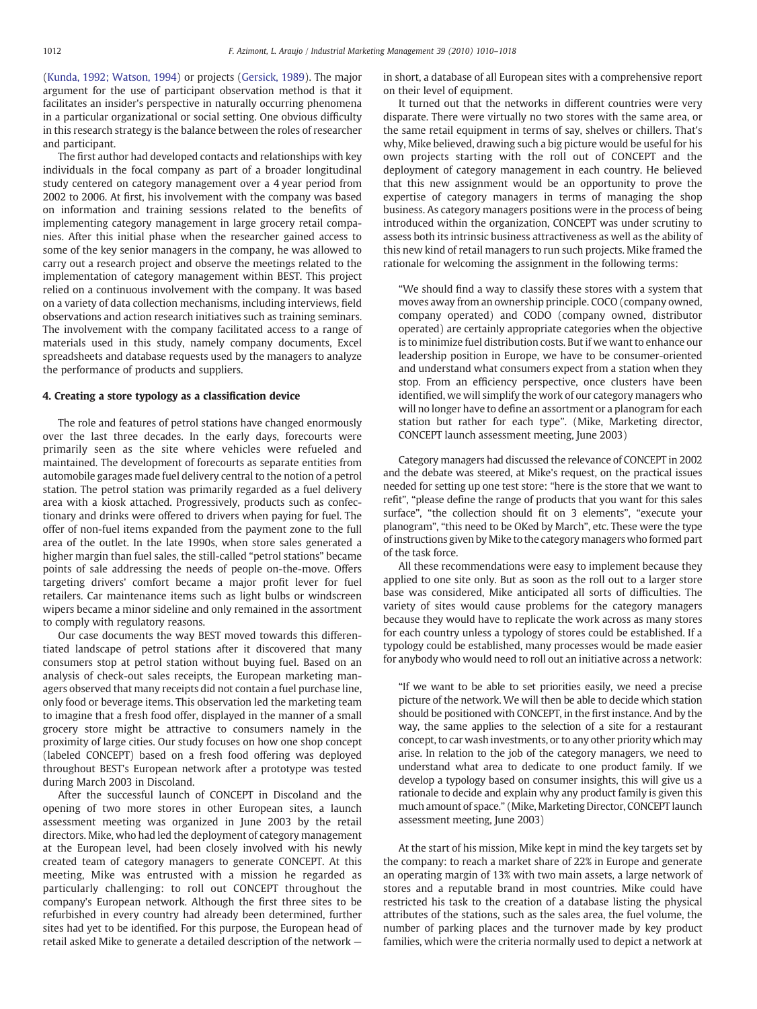[\(Kunda, 1992; Watson, 1994](#page-8-0)) or projects [\(Gersick, 1989\)](#page-8-0). The major argument for the use of participant observation method is that it facilitates an insider's perspective in naturally occurring phenomena in a particular organizational or social setting. One obvious difficulty in this research strategy is the balance between the roles of researcher and participant.

The first author had developed contacts and relationships with key individuals in the focal company as part of a broader longitudinal study centered on category management over a 4 year period from 2002 to 2006. At first, his involvement with the company was based on information and training sessions related to the benefits of implementing category management in large grocery retail companies. After this initial phase when the researcher gained access to some of the key senior managers in the company, he was allowed to carry out a research project and observe the meetings related to the implementation of category management within BEST. This project relied on a continuous involvement with the company. It was based on a variety of data collection mechanisms, including interviews, field observations and action research initiatives such as training seminars. The involvement with the company facilitated access to a range of materials used in this study, namely company documents, Excel spreadsheets and database requests used by the managers to analyze the performance of products and suppliers.

#### 4. Creating a store typology as a classification device

The role and features of petrol stations have changed enormously over the last three decades. In the early days, forecourts were primarily seen as the site where vehicles were refueled and maintained. The development of forecourts as separate entities from automobile garages made fuel delivery central to the notion of a petrol station. The petrol station was primarily regarded as a fuel delivery area with a kiosk attached. Progressively, products such as confectionary and drinks were offered to drivers when paying for fuel. The offer of non-fuel items expanded from the payment zone to the full area of the outlet. In the late 1990s, when store sales generated a higher margin than fuel sales, the still-called "petrol stations" became points of sale addressing the needs of people on-the-move. Offers targeting drivers' comfort became a major profit lever for fuel retailers. Car maintenance items such as light bulbs or windscreen wipers became a minor sideline and only remained in the assortment to comply with regulatory reasons.

Our case documents the way BEST moved towards this differentiated landscape of petrol stations after it discovered that many consumers stop at petrol station without buying fuel. Based on an analysis of check-out sales receipts, the European marketing managers observed that many receipts did not contain a fuel purchase line, only food or beverage items. This observation led the marketing team to imagine that a fresh food offer, displayed in the manner of a small grocery store might be attractive to consumers namely in the proximity of large cities. Our study focuses on how one shop concept (labeled CONCEPT) based on a fresh food offering was deployed throughout BEST's European network after a prototype was tested during March 2003 in Discoland.

After the successful launch of CONCEPT in Discoland and the opening of two more stores in other European sites, a launch assessment meeting was organized in June 2003 by the retail directors. Mike, who had led the deployment of category management at the European level, had been closely involved with his newly created team of category managers to generate CONCEPT. At this meeting, Mike was entrusted with a mission he regarded as particularly challenging: to roll out CONCEPT throughout the company's European network. Although the first three sites to be refurbished in every country had already been determined, further sites had yet to be identified. For this purpose, the European head of retail asked Mike to generate a detailed description of the network —

in short, a database of all European sites with a comprehensive report on their level of equipment.

It turned out that the networks in different countries were very disparate. There were virtually no two stores with the same area, or the same retail equipment in terms of say, shelves or chillers. That's why, Mike believed, drawing such a big picture would be useful for his own projects starting with the roll out of CONCEPT and the deployment of category management in each country. He believed that this new assignment would be an opportunity to prove the expertise of category managers in terms of managing the shop business. As category managers positions were in the process of being introduced within the organization, CONCEPT was under scrutiny to assess both its intrinsic business attractiveness as well as the ability of this new kind of retail managers to run such projects. Mike framed the rationale for welcoming the assignment in the following terms:

"We should find a way to classify these stores with a system that moves away from an ownership principle. COCO (company owned, company operated) and CODO (company owned, distributor operated) are certainly appropriate categories when the objective is to minimize fuel distribution costs. But if we want to enhance our leadership position in Europe, we have to be consumer-oriented and understand what consumers expect from a station when they stop. From an efficiency perspective, once clusters have been identified, we will simplify the work of our category managers who will no longer have to define an assortment or a planogram for each station but rather for each type". (Mike, Marketing director, CONCEPT launch assessment meeting, June 2003)

Category managers had discussed the relevance of CONCEPT in 2002 and the debate was steered, at Mike's request, on the practical issues needed for setting up one test store: "here is the store that we want to refit", "please define the range of products that you want for this sales surface", "the collection should fit on 3 elements", "execute your planogram", "this need to be OKed by March", etc. These were the type of instructions given by Mike to the category managers who formed part of the task force.

All these recommendations were easy to implement because they applied to one site only. But as soon as the roll out to a larger store base was considered, Mike anticipated all sorts of difficulties. The variety of sites would cause problems for the category managers because they would have to replicate the work across as many stores for each country unless a typology of stores could be established. If a typology could be established, many processes would be made easier for anybody who would need to roll out an initiative across a network:

"If we want to be able to set priorities easily, we need a precise picture of the network. We will then be able to decide which station should be positioned with CONCEPT, in the first instance. And by the way, the same applies to the selection of a site for a restaurant concept, to car wash investments, or to any other priority which may arise. In relation to the job of the category managers, we need to understand what area to dedicate to one product family. If we develop a typology based on consumer insights, this will give us a rationale to decide and explain why any product family is given this much amount of space." (Mike, Marketing Director, CONCEPT launch assessment meeting, June 2003)

At the start of his mission, Mike kept in mind the key targets set by the company: to reach a market share of 22% in Europe and generate an operating margin of 13% with two main assets, a large network of stores and a reputable brand in most countries. Mike could have restricted his task to the creation of a database listing the physical attributes of the stations, such as the sales area, the fuel volume, the number of parking places and the turnover made by key product families, which were the criteria normally used to depict a network at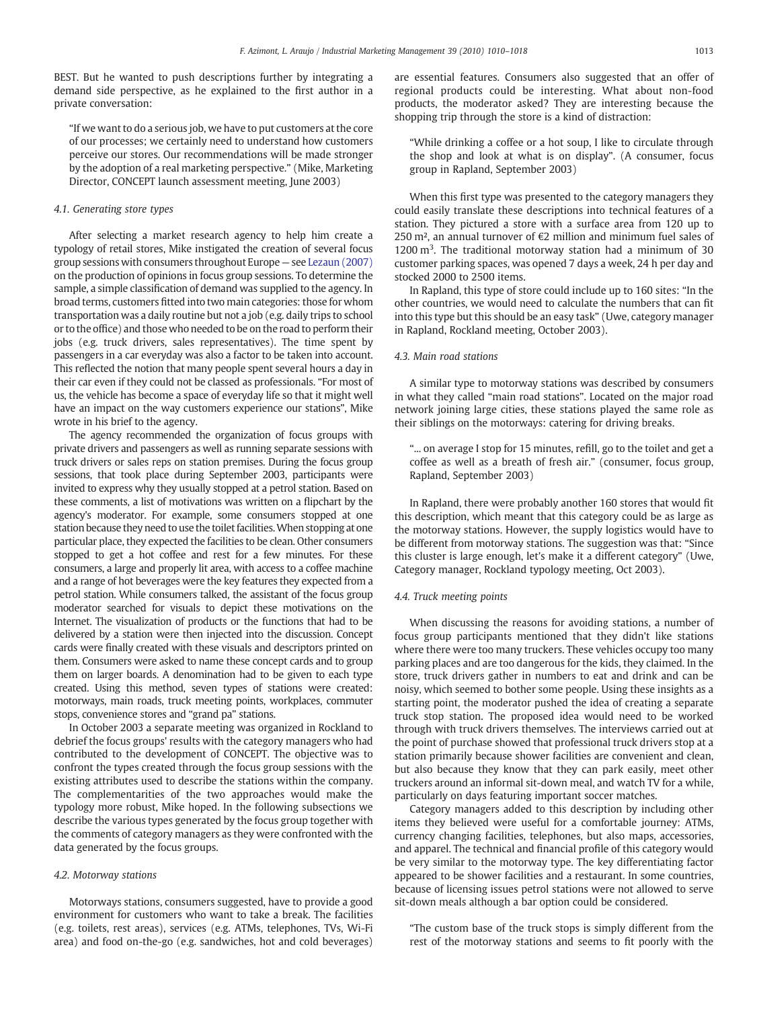BEST. But he wanted to push descriptions further by integrating a demand side perspective, as he explained to the first author in a private conversation:

"If we want to do a serious job, we have to put customers at the core of our processes; we certainly need to understand how customers perceive our stores. Our recommendations will be made stronger by the adoption of a real marketing perspective." (Mike, Marketing Director, CONCEPT launch assessment meeting, June 2003)

### 4.1. Generating store types

After selecting a market research agency to help him create a typology of retail stores, Mike instigated the creation of several focus group sessions with consumers throughout Europe — see [Lezaun \(2007\)](#page-8-0) on the production of opinions in focus group sessions. To determine the sample, a simple classification of demand was supplied to the agency. In broad terms, customers fitted into two main categories: those for whom transportation was a daily routine but not a job (e.g. daily trips to school or to the office) and those who needed to be on the road to perform their jobs (e.g. truck drivers, sales representatives). The time spent by passengers in a car everyday was also a factor to be taken into account. This reflected the notion that many people spent several hours a day in their car even if they could not be classed as professionals. "For most of us, the vehicle has become a space of everyday life so that it might well have an impact on the way customers experience our stations", Mike wrote in his brief to the agency.

The agency recommended the organization of focus groups with private drivers and passengers as well as running separate sessions with truck drivers or sales reps on station premises. During the focus group sessions, that took place during September 2003, participants were invited to express why they usually stopped at a petrol station. Based on these comments, a list of motivations was written on a flipchart by the agency's moderator. For example, some consumers stopped at one station because they need to use the toilet facilities.When stopping at one particular place, they expected the facilities to be clean. Other consumers stopped to get a hot coffee and rest for a few minutes. For these consumers, a large and properly lit area, with access to a coffee machine and a range of hot beverages were the key features they expected from a petrol station. While consumers talked, the assistant of the focus group moderator searched for visuals to depict these motivations on the Internet. The visualization of products or the functions that had to be delivered by a station were then injected into the discussion. Concept cards were finally created with these visuals and descriptors printed on them. Consumers were asked to name these concept cards and to group them on larger boards. A denomination had to be given to each type created. Using this method, seven types of stations were created: motorways, main roads, truck meeting points, workplaces, commuter stops, convenience stores and "grand pa" stations.

In October 2003 a separate meeting was organized in Rockland to debrief the focus groups' results with the category managers who had contributed to the development of CONCEPT. The objective was to confront the types created through the focus group sessions with the existing attributes used to describe the stations within the company. The complementarities of the two approaches would make the typology more robust, Mike hoped. In the following subsections we describe the various types generated by the focus group together with the comments of category managers as they were confronted with the data generated by the focus groups.

### 4.2. Motorway stations

Motorways stations, consumers suggested, have to provide a good environment for customers who want to take a break. The facilities (e.g. toilets, rest areas), services (e.g. ATMs, telephones, TVs, Wi-Fi area) and food on-the-go (e.g. sandwiches, hot and cold beverages) are essential features. Consumers also suggested that an offer of regional products could be interesting. What about non-food products, the moderator asked? They are interesting because the shopping trip through the store is a kind of distraction:

"While drinking a coffee or a hot soup, I like to circulate through the shop and look at what is on display". (A consumer, focus group in Rapland, September 2003)

When this first type was presented to the category managers they could easily translate these descriptions into technical features of a station. They pictured a store with a surface area from 120 up to 250 m<sup>2</sup>, an annual turnover of  $\epsilon$ 2 million and minimum fuel sales of  $1200 \text{ m}^3$ . The traditional motorway station had a minimum of 30 customer parking spaces, was opened 7 days a week, 24 h per day and stocked 2000 to 2500 items.

In Rapland, this type of store could include up to 160 sites: "In the other countries, we would need to calculate the numbers that can fit into this type but this should be an easy task" (Uwe, category manager in Rapland, Rockland meeting, October 2003).

#### 4.3. Main road stations

A similar type to motorway stations was described by consumers in what they called "main road stations". Located on the major road network joining large cities, these stations played the same role as their siblings on the motorways: catering for driving breaks.

"... on average I stop for 15 minutes, refill, go to the toilet and get a coffee as well as a breath of fresh air." (consumer, focus group, Rapland, September 2003)

In Rapland, there were probably another 160 stores that would fit this description, which meant that this category could be as large as the motorway stations. However, the supply logistics would have to be different from motorway stations. The suggestion was that: "Since this cluster is large enough, let's make it a different category" (Uwe, Category manager, Rockland typology meeting, Oct 2003).

#### 4.4. Truck meeting points

When discussing the reasons for avoiding stations, a number of focus group participants mentioned that they didn't like stations where there were too many truckers. These vehicles occupy too many parking places and are too dangerous for the kids, they claimed. In the store, truck drivers gather in numbers to eat and drink and can be noisy, which seemed to bother some people. Using these insights as a starting point, the moderator pushed the idea of creating a separate truck stop station. The proposed idea would need to be worked through with truck drivers themselves. The interviews carried out at the point of purchase showed that professional truck drivers stop at a station primarily because shower facilities are convenient and clean, but also because they know that they can park easily, meet other truckers around an informal sit-down meal, and watch TV for a while, particularly on days featuring important soccer matches.

Category managers added to this description by including other items they believed were useful for a comfortable journey: ATMs, currency changing facilities, telephones, but also maps, accessories, and apparel. The technical and financial profile of this category would be very similar to the motorway type. The key differentiating factor appeared to be shower facilities and a restaurant. In some countries, because of licensing issues petrol stations were not allowed to serve sit-down meals although a bar option could be considered.

"The custom base of the truck stops is simply different from the rest of the motorway stations and seems to fit poorly with the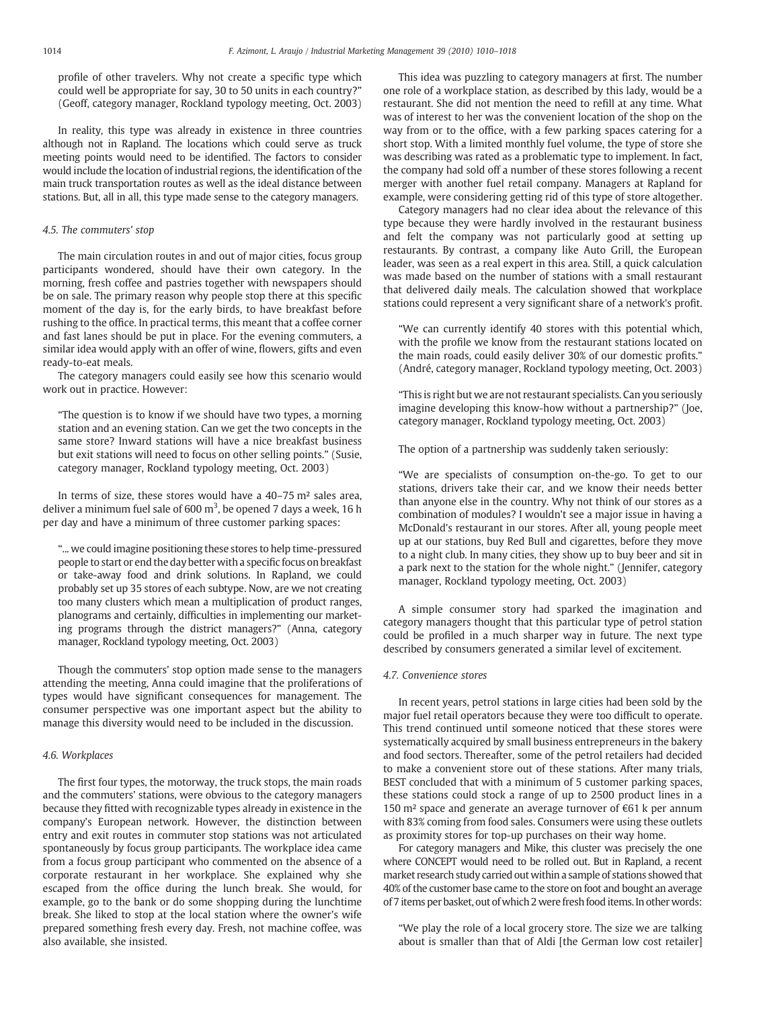profile of other travelers. Why not create a specific type which could well be appropriate for say, 30 to 50 units in each country?" (Geoff, category manager, Rockland typology meeting, Oct. 2003)

In reality, this type was already in existence in three countries although not in Rapland. The locations which could serve as truck meeting points would need to be identified. The factors to consider would include the location of industrial regions, the identification of the main truck transportation routes as well as the ideal distance between stations. But, all in all, this type made sense to the category managers.

#### 4.5. The commuters' stop

The main circulation routes in and out of major cities, focus group participants wondered, should have their own category. In the morning, fresh coffee and pastries together with newspapers should be on sale. The primary reason why people stop there at this specific moment of the day is, for the early birds, to have breakfast before rushing to the office. In practical terms, this meant that a coffee corner and fast lanes should be put in place. For the evening commuters, a similar idea would apply with an offer of wine, flowers, gifts and even ready-to-eat meals.

The category managers could easily see how this scenario would work out in practice. However:

"The question is to know if we should have two types, a morning station and an evening station. Can we get the two concepts in the same store? Inward stations will have a nice breakfast business but exit stations will need to focus on other selling points." (Susie, category manager, Rockland typology meeting, Oct. 2003)

In terms of size, these stores would have a 40–75 m² sales area, deliver a minimum fuel sale of 600  $m<sup>3</sup>$ , be opened 7 days a week, 16 h per day and have a minimum of three customer parking spaces:

"... we could imagine positioning these stores to help time-pressured people to start or end the day better with a specific focus on breakfast or take-away food and drink solutions. In Rapland, we could probably set up 35 stores of each subtype. Now, are we not creating too many clusters which mean a multiplication of product ranges, planograms and certainly, difficulties in implementing our marketing programs through the district managers?" (Anna, category manager, Rockland typology meeting, Oct. 2003)

Though the commuters' stop option made sense to the managers attending the meeting, Anna could imagine that the proliferations of types would have significant consequences for management. The consumer perspective was one important aspect but the ability to manage this diversity would need to be included in the discussion.

### 4.6. Workplaces

The first four types, the motorway, the truck stops, the main roads and the commuters' stations, were obvious to the category managers because they fitted with recognizable types already in existence in the company's European network. However, the distinction between entry and exit routes in commuter stop stations was not articulated spontaneously by focus group participants. The workplace idea came from a focus group participant who commented on the absence of a corporate restaurant in her workplace. She explained why she escaped from the office during the lunch break. She would, for example, go to the bank or do some shopping during the lunchtime break. She liked to stop at the local station where the owner's wife prepared something fresh every day. Fresh, not machine coffee, was also available, she insisted.

This idea was puzzling to category managers at first. The number one role of a workplace station, as described by this lady, would be a restaurant. She did not mention the need to refill at any time. What was of interest to her was the convenient location of the shop on the way from or to the office, with a few parking spaces catering for a short stop. With a limited monthly fuel volume, the type of store she was describing was rated as a problematic type to implement. In fact, the company had sold off a number of these stores following a recent merger with another fuel retail company. Managers at Rapland for example, were considering getting rid of this type of store altogether.

Category managers had no clear idea about the relevance of this type because they were hardly involved in the restaurant business and felt the company was not particularly good at setting up restaurants. By contrast, a company like Auto Grill, the European leader, was seen as a real expert in this area. Still, a quick calculation was made based on the number of stations with a small restaurant that delivered daily meals. The calculation showed that workplace stations could represent a very significant share of a network's profit.

"We can currently identify 40 stores with this potential which, with the profile we know from the restaurant stations located on the main roads, could easily deliver 30% of our domestic profits." (André, category manager, Rockland typology meeting, Oct. 2003)

"This is right but we are not restaurant specialists. Can you seriously imagine developing this know-how without a partnership?" (Joe, category manager, Rockland typology meeting, Oct. 2003)

The option of a partnership was suddenly taken seriously:

"We are specialists of consumption on-the-go. To get to our stations, drivers take their car, and we know their needs better than anyone else in the country. Why not think of our stores as a combination of modules? I wouldn't see a major issue in having a McDonald's restaurant in our stores. After all, young people meet up at our stations, buy Red Bull and cigarettes, before they move to a night club. In many cities, they show up to buy beer and sit in a park next to the station for the whole night." (Jennifer, category manager, Rockland typology meeting, Oct. 2003)

A simple consumer story had sparked the imagination and category managers thought that this particular type of petrol station could be profiled in a much sharper way in future. The next type described by consumers generated a similar level of excitement.

### 4.7. Convenience stores

In recent years, petrol stations in large cities had been sold by the major fuel retail operators because they were too difficult to operate. This trend continued until someone noticed that these stores were systematically acquired by small business entrepreneurs in the bakery and food sectors. Thereafter, some of the petrol retailers had decided to make a convenient store out of these stations. After many trials, BEST concluded that with a minimum of 5 customer parking spaces, these stations could stock a range of up to 2500 product lines in a 150 m<sup>2</sup> space and generate an average turnover of €61 k per annum with 83% coming from food sales. Consumers were using these outlets as proximity stores for top-up purchases on their way home.

For category managers and Mike, this cluster was precisely the one where CONCEPT would need to be rolled out. But in Rapland, a recent market research study carried out within a sample of stations showed that 40% of the customer base came to the store on foot and bought an average of 7 items per basket, out of which 2 were fresh food items. In other words:

"We play the role of a local grocery store. The size we are talking about is smaller than that of Aldi [the German low cost retailer]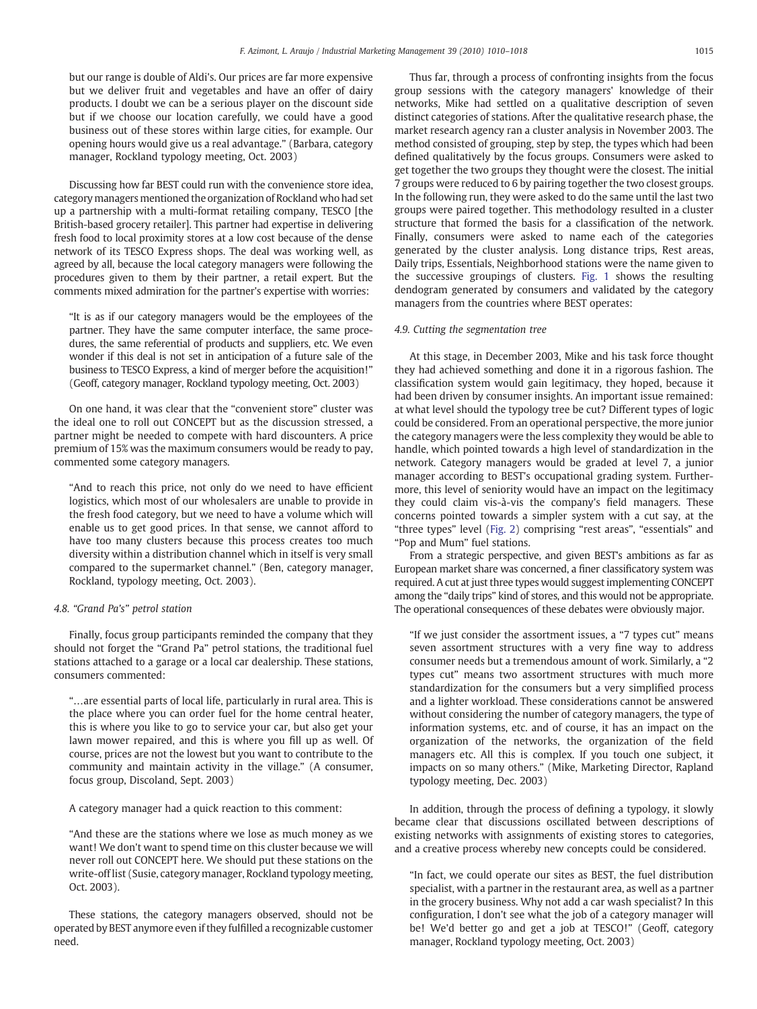but our range is double of Aldi's. Our prices are far more expensive but we deliver fruit and vegetables and have an offer of dairy products. I doubt we can be a serious player on the discount side but if we choose our location carefully, we could have a good business out of these stores within large cities, for example. Our opening hours would give us a real advantage." (Barbara, category manager, Rockland typology meeting, Oct. 2003)

Discussing how far BEST could run with the convenience store idea, category managers mentioned the organization of Rockland who had set up a partnership with a multi-format retailing company, TESCO [the British-based grocery retailer]. This partner had expertise in delivering fresh food to local proximity stores at a low cost because of the dense network of its TESCO Express shops. The deal was working well, as agreed by all, because the local category managers were following the procedures given to them by their partner, a retail expert. But the comments mixed admiration for the partner's expertise with worries:

"It is as if our category managers would be the employees of the partner. They have the same computer interface, the same procedures, the same referential of products and suppliers, etc. We even wonder if this deal is not set in anticipation of a future sale of the business to TESCO Express, a kind of merger before the acquisition!" (Geoff, category manager, Rockland typology meeting, Oct. 2003)

On one hand, it was clear that the "convenient store" cluster was the ideal one to roll out CONCEPT but as the discussion stressed, a partner might be needed to compete with hard discounters. A price premium of 15% was the maximum consumers would be ready to pay, commented some category managers.

"And to reach this price, not only do we need to have efficient logistics, which most of our wholesalers are unable to provide in the fresh food category, but we need to have a volume which will enable us to get good prices. In that sense, we cannot afford to have too many clusters because this process creates too much diversity within a distribution channel which in itself is very small compared to the supermarket channel." (Ben, category manager, Rockland, typology meeting, Oct. 2003).

#### 4.8. "Grand Pa's" petrol station

Finally, focus group participants reminded the company that they should not forget the "Grand Pa" petrol stations, the traditional fuel stations attached to a garage or a local car dealership. These stations, consumers commented:

"…are essential parts of local life, particularly in rural area. This is the place where you can order fuel for the home central heater, this is where you like to go to service your car, but also get your lawn mower repaired, and this is where you fill up as well. Of course, prices are not the lowest but you want to contribute to the community and maintain activity in the village." (A consumer, focus group, Discoland, Sept. 2003)

A category manager had a quick reaction to this comment:

"And these are the stations where we lose as much money as we want! We don't want to spend time on this cluster because we will never roll out CONCEPT here. We should put these stations on the write-off list (Susie, category manager, Rockland typology meeting, Oct. 2003).

These stations, the category managers observed, should not be operated by BEST anymore even if they fulfilled a recognizable customer need.

Thus far, through a process of confronting insights from the focus group sessions with the category managers' knowledge of their networks, Mike had settled on a qualitative description of seven distinct categories of stations. After the qualitative research phase, the market research agency ran a cluster analysis in November 2003. The method consisted of grouping, step by step, the types which had been defined qualitatively by the focus groups. Consumers were asked to get together the two groups they thought were the closest. The initial 7 groups were reduced to 6 by pairing together the two closest groups. In the following run, they were asked to do the same until the last two groups were paired together. This methodology resulted in a cluster structure that formed the basis for a classification of the network. Finally, consumers were asked to name each of the categories generated by the cluster analysis. Long distance trips, Rest areas, Daily trips, Essentials, Neighborhood stations were the name given to the successive groupings of clusters. [Fig. 1](#page-6-0) shows the resulting dendogram generated by consumers and validated by the category managers from the countries where BEST operates:

#### 4.9. Cutting the segmentation tree

At this stage, in December 2003, Mike and his task force thought they had achieved something and done it in a rigorous fashion. The classification system would gain legitimacy, they hoped, because it had been driven by consumer insights. An important issue remained: at what level should the typology tree be cut? Different types of logic could be considered. From an operational perspective, the more junior the category managers were the less complexity they would be able to handle, which pointed towards a high level of standardization in the network. Category managers would be graded at level 7, a junior manager according to BEST's occupational grading system. Furthermore, this level of seniority would have an impact on the legitimacy they could claim vis-à-vis the company's field managers. These concerns pointed towards a simpler system with a cut say, at the "three types" level ([Fig. 2\)](#page-6-0) comprising "rest areas", "essentials" and "Pop and Mum" fuel stations.

From a strategic perspective, and given BEST's ambitions as far as European market share was concerned, a finer classificatory system was required. A cut at just three types would suggest implementing CONCEPT among the "daily trips" kind of stores, and this would not be appropriate. The operational consequences of these debates were obviously major.

"If we just consider the assortment issues, a "7 types cut" means seven assortment structures with a very fine way to address consumer needs but a tremendous amount of work. Similarly, a "2 types cut" means two assortment structures with much more standardization for the consumers but a very simplified process and a lighter workload. These considerations cannot be answered without considering the number of category managers, the type of information systems, etc. and of course, it has an impact on the organization of the networks, the organization of the field managers etc. All this is complex. If you touch one subject, it impacts on so many others." (Mike, Marketing Director, Rapland typology meeting, Dec. 2003)

In addition, through the process of defining a typology, it slowly became clear that discussions oscillated between descriptions of existing networks with assignments of existing stores to categories, and a creative process whereby new concepts could be considered.

"In fact, we could operate our sites as BEST, the fuel distribution specialist, with a partner in the restaurant area, as well as a partner in the grocery business. Why not add a car wash specialist? In this configuration, I don't see what the job of a category manager will be! We'd better go and get a job at TESCO!" (Geoff, category manager, Rockland typology meeting, Oct. 2003)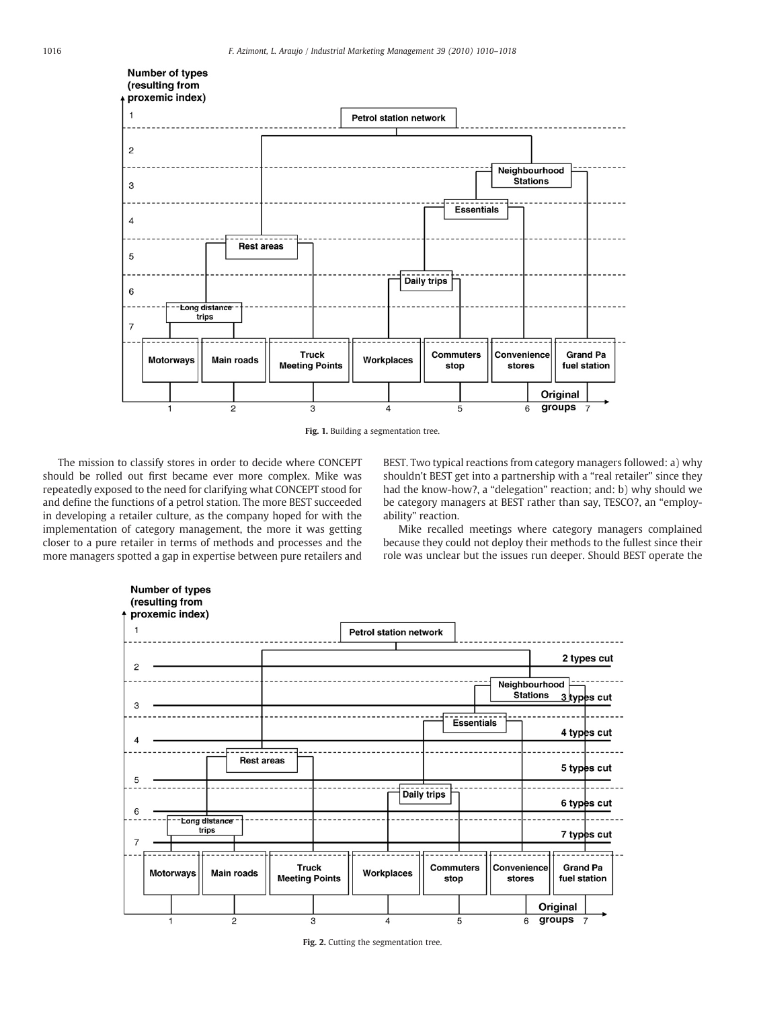<span id="page-6-0"></span>

Fig. 1. Building a segmentation tree.

The mission to classify stores in order to decide where CONCEPT should be rolled out first became ever more complex. Mike was repeatedly exposed to the need for clarifying what CONCEPT stood for and define the functions of a petrol station. The more BEST succeeded in developing a retailer culture, as the company hoped for with the implementation of category management, the more it was getting closer to a pure retailer in terms of methods and processes and the more managers spotted a gap in expertise between pure retailers and

BEST. Two typical reactions from category managers followed: a) why shouldn't BEST get into a partnership with a "real retailer" since they had the know-how?, a "delegation" reaction; and: b) why should we be category managers at BEST rather than say, TESCO?, an "employability" reaction.

Mike recalled meetings where category managers complained because they could not deploy their methods to the fullest since their role was unclear but the issues run deeper. Should BEST operate the



Fig. 2. Cutting the segmentation tree.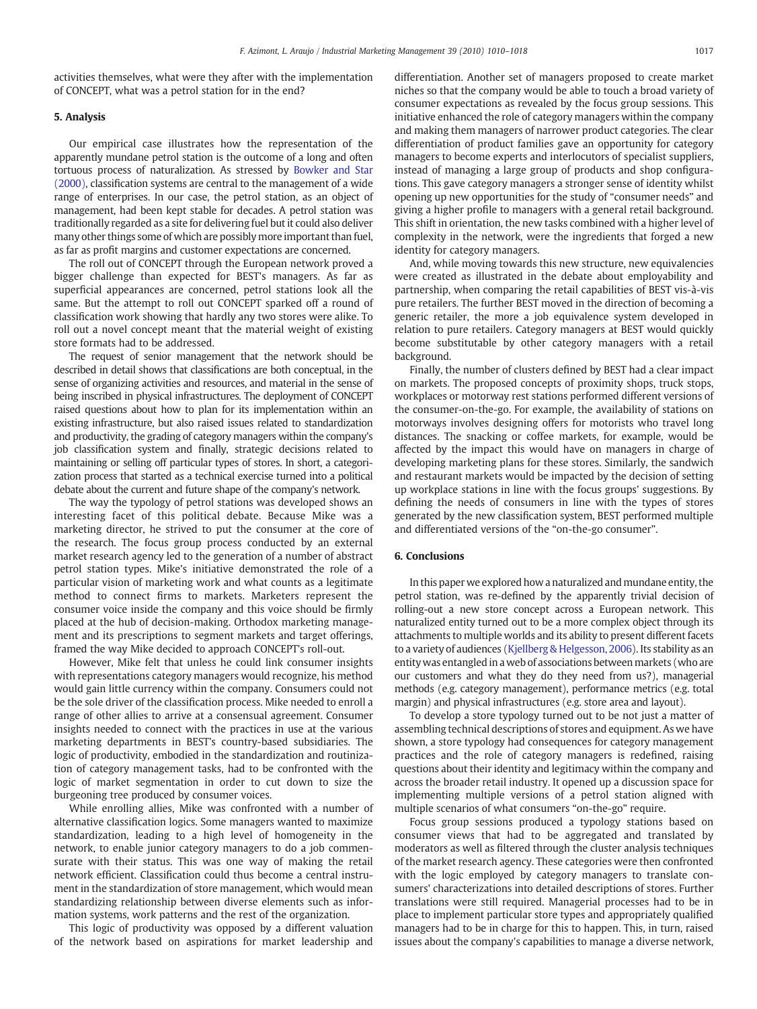activities themselves, what were they after with the implementation of CONCEPT, what was a petrol station for in the end?

#### 5. Analysis

Our empirical case illustrates how the representation of the apparently mundane petrol station is the outcome of a long and often tortuous process of naturalization. As stressed by [Bowker and Star](#page-8-0) [\(2000\)](#page-8-0), classification systems are central to the management of a wide range of enterprises. In our case, the petrol station, as an object of management, had been kept stable for decades. A petrol station was traditionally regarded as a site for delivering fuel but it could also deliver many other things some of which are possibly more important than fuel, as far as profit margins and customer expectations are concerned.

The roll out of CONCEPT through the European network proved a bigger challenge than expected for BEST's managers. As far as superficial appearances are concerned, petrol stations look all the same. But the attempt to roll out CONCEPT sparked off a round of classification work showing that hardly any two stores were alike. To roll out a novel concept meant that the material weight of existing store formats had to be addressed.

The request of senior management that the network should be described in detail shows that classifications are both conceptual, in the sense of organizing activities and resources, and material in the sense of being inscribed in physical infrastructures. The deployment of CONCEPT raised questions about how to plan for its implementation within an existing infrastructure, but also raised issues related to standardization and productivity, the grading of category managers within the company's job classification system and finally, strategic decisions related to maintaining or selling off particular types of stores. In short, a categorization process that started as a technical exercise turned into a political debate about the current and future shape of the company's network.

The way the typology of petrol stations was developed shows an interesting facet of this political debate. Because Mike was a marketing director, he strived to put the consumer at the core of the research. The focus group process conducted by an external market research agency led to the generation of a number of abstract petrol station types. Mike's initiative demonstrated the role of a particular vision of marketing work and what counts as a legitimate method to connect firms to markets. Marketers represent the consumer voice inside the company and this voice should be firmly placed at the hub of decision-making. Orthodox marketing management and its prescriptions to segment markets and target offerings, framed the way Mike decided to approach CONCEPT's roll-out.

However, Mike felt that unless he could link consumer insights with representations category managers would recognize, his method would gain little currency within the company. Consumers could not be the sole driver of the classification process. Mike needed to enroll a range of other allies to arrive at a consensual agreement. Consumer insights needed to connect with the practices in use at the various marketing departments in BEST's country-based subsidiaries. The logic of productivity, embodied in the standardization and routinization of category management tasks, had to be confronted with the logic of market segmentation in order to cut down to size the burgeoning tree produced by consumer voices.

While enrolling allies, Mike was confronted with a number of alternative classification logics. Some managers wanted to maximize standardization, leading to a high level of homogeneity in the network, to enable junior category managers to do a job commensurate with their status. This was one way of making the retail network efficient. Classification could thus become a central instrument in the standardization of store management, which would mean standardizing relationship between diverse elements such as information systems, work patterns and the rest of the organization.

This logic of productivity was opposed by a different valuation of the network based on aspirations for market leadership and differentiation. Another set of managers proposed to create market niches so that the company would be able to touch a broad variety of consumer expectations as revealed by the focus group sessions. This initiative enhanced the role of category managers within the company and making them managers of narrower product categories. The clear differentiation of product families gave an opportunity for category managers to become experts and interlocutors of specialist suppliers, instead of managing a large group of products and shop configurations. This gave category managers a stronger sense of identity whilst opening up new opportunities for the study of "consumer needs" and giving a higher profile to managers with a general retail background. This shift in orientation, the new tasks combined with a higher level of complexity in the network, were the ingredients that forged a new identity for category managers.

And, while moving towards this new structure, new equivalencies were created as illustrated in the debate about employability and partnership, when comparing the retail capabilities of BEST vis-à-vis pure retailers. The further BEST moved in the direction of becoming a generic retailer, the more a job equivalence system developed in relation to pure retailers. Category managers at BEST would quickly become substitutable by other category managers with a retail background.

Finally, the number of clusters defined by BEST had a clear impact on markets. The proposed concepts of proximity shops, truck stops, workplaces or motorway rest stations performed different versions of the consumer-on-the-go. For example, the availability of stations on motorways involves designing offers for motorists who travel long distances. The snacking or coffee markets, for example, would be affected by the impact this would have on managers in charge of developing marketing plans for these stores. Similarly, the sandwich and restaurant markets would be impacted by the decision of setting up workplace stations in line with the focus groups' suggestions. By defining the needs of consumers in line with the types of stores generated by the new classification system, BEST performed multiple and differentiated versions of the "on-the-go consumer".

#### 6. Conclusions

In this paper we explored how a naturalized and mundane entity, the petrol station, was re-defined by the apparently trivial decision of rolling-out a new store concept across a European network. This naturalized entity turned out to be a more complex object through its attachments to multiple worlds and its ability to present different facets to a variety of audiences ([Kjellberg & Helgesson, 2006](#page-8-0)). Its stability as an entity was entangled in a web of associations between markets (who are our customers and what they do they need from us?), managerial methods (e.g. category management), performance metrics (e.g. total margin) and physical infrastructures (e.g. store area and layout).

To develop a store typology turned out to be not just a matter of assembling technical descriptions of stores and equipment. As we have shown, a store typology had consequences for category management practices and the role of category managers is redefined, raising questions about their identity and legitimacy within the company and across the broader retail industry. It opened up a discussion space for implementing multiple versions of a petrol station aligned with multiple scenarios of what consumers "on-the-go" require.

Focus group sessions produced a typology stations based on consumer views that had to be aggregated and translated by moderators as well as filtered through the cluster analysis techniques of the market research agency. These categories were then confronted with the logic employed by category managers to translate consumers' characterizations into detailed descriptions of stores. Further translations were still required. Managerial processes had to be in place to implement particular store types and appropriately qualified managers had to be in charge for this to happen. This, in turn, raised issues about the company's capabilities to manage a diverse network,